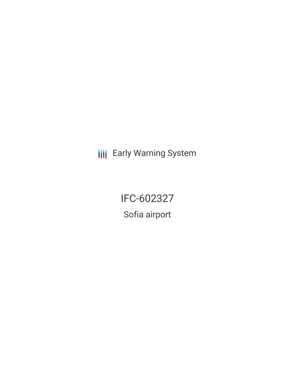**III** Early Warning System

IFC-602327

Sofia airport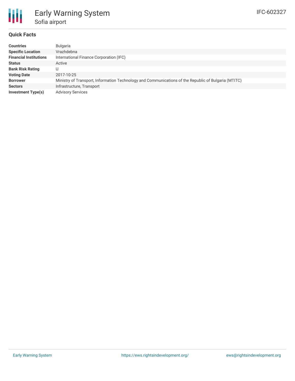## **Quick Facts**

| <b>Countries</b>              | Bulgaria                                                                                             |
|-------------------------------|------------------------------------------------------------------------------------------------------|
| <b>Specific Location</b>      | Vrazhdebna                                                                                           |
| <b>Financial Institutions</b> | International Finance Corporation (IFC)                                                              |
| <b>Status</b>                 | Active                                                                                               |
| <b>Bank Risk Rating</b>       | U                                                                                                    |
| <b>Voting Date</b>            | 2017-10-25                                                                                           |
| <b>Borrower</b>               | Ministry of Transport, Information Technology and Communications of the Republic of Bulgaria (MTITC) |
| <b>Sectors</b>                | Infrastructure, Transport                                                                            |
| Investment Type(s)            | <b>Advisory Services</b>                                                                             |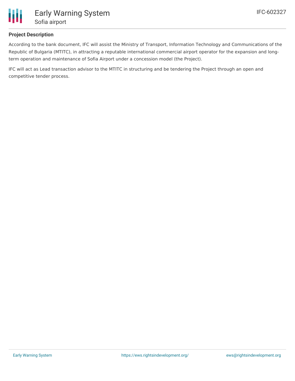

## **Project Description**

According to the bank document, IFC will assist the Ministry of Transport, Information Technology and Communications of the Republic of Bulgaria (MTITC), in attracting a reputable international commercial airport operator for the expansion and longterm operation and maintenance of Sofia Airport under a concession model (the Project).

IFC will act as Lead transaction advisor to the MTITC in structuring and be tendering the Project through an open and competitive tender process.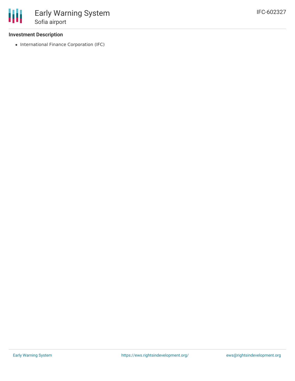## **Investment Description**

• International Finance Corporation (IFC)